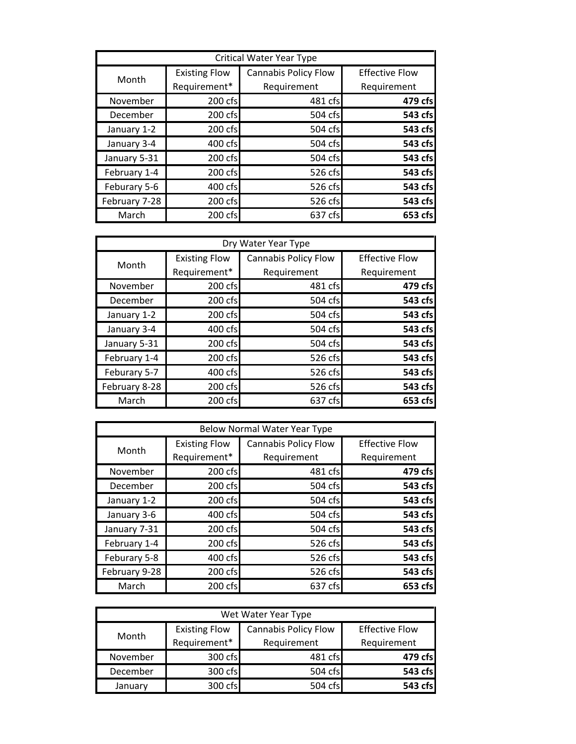| Critical Water Year Type |                      |                             |                       |
|--------------------------|----------------------|-----------------------------|-----------------------|
| Month                    | <b>Existing Flow</b> | <b>Cannabis Policy Flow</b> | <b>Effective Flow</b> |
|                          | Requirement*         | Requirement                 | Requirement           |
| November                 | 200 cfs              | 481 cfs                     | 479 cfs               |
| December                 | 200 cfs              | 504 cfs                     | 543 cfs               |
| January 1-2              | 200 cfs              | 504 cfs                     | 543 cfs               |
| January 3-4              | 400 cfs              | 504 cfs                     | 543 cfs               |
| January 5-31             | 200 cfs              | 504 cfs                     | 543 cfs               |
| February 1-4             | 200 cfs              | 526 cfs                     | 543 cfs               |
| Feburary 5-6             | 400 cfs              | 526 cfs                     | 543 cfs               |
| February 7-28            | 200 cfs              | 526 cfs                     | 543 cfs               |
| March                    | 200 cfs              | 637 cfs                     | 653 cfs               |

| Dry Water Year Type |                      |                             |                       |
|---------------------|----------------------|-----------------------------|-----------------------|
| Month               | <b>Existing Flow</b> | <b>Cannabis Policy Flow</b> | <b>Effective Flow</b> |
|                     | Requirement*         | Requirement                 | Requirement           |
| November            | 200 cfs              | 481 cfs                     | 479 cfs               |
| December            | 200 cfs              | 504 cfs                     | 543 cfs               |
| January 1-2         | 200 cfs              | 504 cfs                     | 543 cfs               |
| January 3-4         | 400 cfs              | 504 cfs                     | 543 cfs               |
| January 5-31        | 200 cfs              | 504 cfs                     | 543 cfs               |
| February 1-4        | 200 cfs              | 526 cfs                     | 543 cfs               |
| Feburary 5-7        | 400 cfs              | 526 cfs                     | 543 cfs               |
| February 8-28       | 200 cfs              | 526 cfs                     | 543 cfs               |
| March               | 200 cfs              | 637 cfs                     | 653 cfs               |

| Below Normal Water Year Type |                      |                             |                       |
|------------------------------|----------------------|-----------------------------|-----------------------|
| Month                        | <b>Existing Flow</b> | <b>Cannabis Policy Flow</b> | <b>Effective Flow</b> |
|                              | Requirement*         | Requirement                 | Requirement           |
| November                     | 200 cfs              | 481 cfs                     | 479 cfs               |
| December                     | 200 cfs              | 504 cfs                     | 543 cfs               |
| January 1-2                  | 200 cfs              | 504 cfs                     | 543 cfs               |
| January 3-6                  | 400 cfs              | 504 cfs                     | 543 cfs               |
| January 7-31                 | 200 cfs              | 504 cfs                     | 543 cfs               |
| February 1-4                 | 200 cfs              | 526 cfs                     | 543 cfs               |
| Feburary 5-8                 | 400 cfs              | 526 cfs                     | 543 cfs               |
| February 9-28                | 200 cfs              | 526 cfsl                    | 543 cfs               |
| March                        | 200 cfs              | 637 cfs                     | 653 cfsl              |

| Wet Water Year Type |                      |                             |                       |
|---------------------|----------------------|-----------------------------|-----------------------|
| Month               | <b>Existing Flow</b> | <b>Cannabis Policy Flow</b> | <b>Effective Flow</b> |
|                     | Requirement*         | Requirement                 | Requirement           |
| November            | 300 cfs              | 481 cfs                     | 479 cfs               |
| December            | 300 cfs              | 504 cfs                     | 543 cfs               |
| January             | 300 cfs              | 504 cfs                     | 543 cfs               |